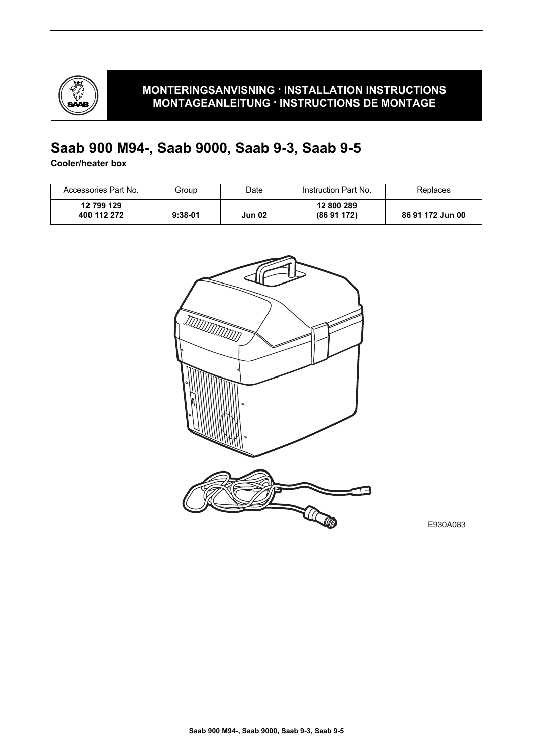

# **Saab 900 M94-, Saab 9000, Saab 9-3, Saab 9-5**

**Cooler/heater box**

| Accessories Part No.      | Group     | Date   | Instruction Part No.    | Replaces         |
|---------------------------|-----------|--------|-------------------------|------------------|
| 12 799 129<br>400 112 272 | $9:38-01$ | Jun 02 | 12 800 289<br>(8691172) | 86 91 172 Jun 00 |



E930A083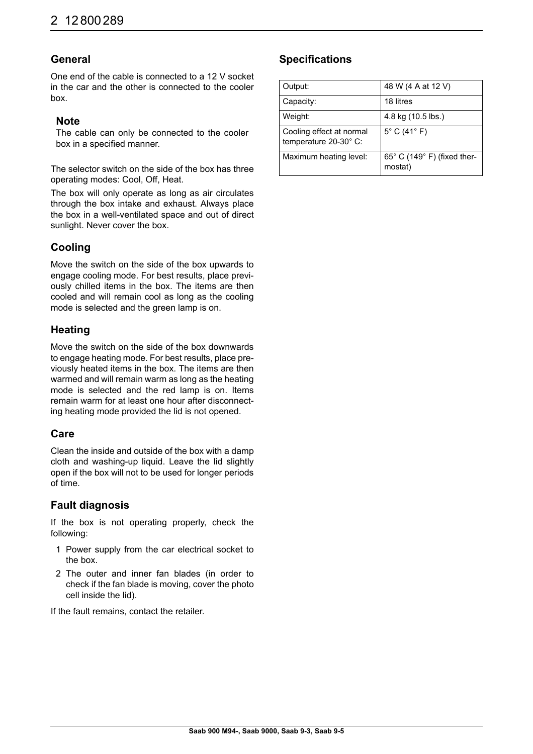### **General**

One end of the cable is connected to a 12 V socket in the car and the other is connected to the cooler box.

### **Note**

The cable can only be connected to the cooler box in a specified manner.

The selector switch on the side of the box has three operating modes: Cool, Off, Heat.

The box will only operate as long as air circulates through the box intake and exhaust. Always place the box in a well-ventilated space and out of direct sunlight. Never cover the box.

### **Cooling**

Move the switch on the side of the box upwards to engage cooling mode. For best results, place previously chilled items in the box. The items are then cooled and will remain cool as long as the cooling mode is selected and the green lamp is on.

### **Heating**

Move the switch on the side of the box downwards to engage heating mode. For best results, place previously heated items in the box. The items are then warmed and will remain warm as long as the heating mode is selected and the red lamp is on. Items remain warm for at least one hour after disconnecting heating mode provided the lid is not opened.

### **Care**

Clean the inside and outside of the box with a damp cloth and washing-up liquid. Leave the lid slightly open if the box will not to be used for longer periods of time.

### **Fault diagnosis**

If the box is not operating properly, check the following:

- 1 Power supply from the car electrical socket to the box.
- 2 The outer and inner fan blades (in order to check if the fan blade is moving, cover the photo cell inside the lid).

If the fault remains, contact the retailer.

### **Specifications**

| Output:                                           | 48 W (4 A at 12 V)                     |
|---------------------------------------------------|----------------------------------------|
| Capacity:                                         | 18 litres                              |
| Weight:                                           | 4.8 kg (10.5 lbs.)                     |
| Cooling effect at normal<br>temperature 20-30° C: | $5^{\circ}$ C (41 $^{\circ}$ F)        |
| Maximum heating level:                            | 65° C (149° F) (fixed ther-<br>mostat) |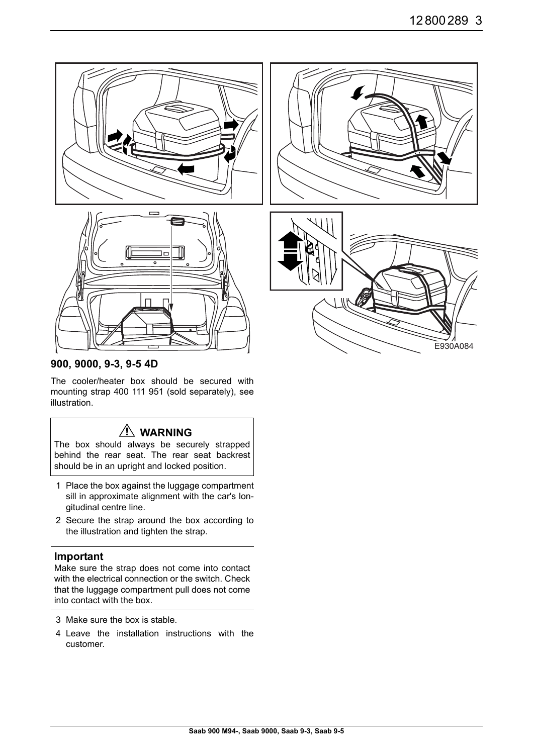

### **900, 9000, 9-3, 9-5 4D**

The cooler/heater box should be secured with mounting strap 400 111 951 (sold separately), see illustration.

# **WARNING**

The box should always be securely strapped behind the rear seat. The rear seat backrest should be in an upright and locked position.

- 1 Place the box against the luggage compartment sill in approximate alignment with the car's longitudinal centre line.
- 2 Secure the strap around the box according to the illustration and tighten the strap.

#### **Important**

Make sure the strap does not come into contact with the electrical connection or the switch. Check that the luggage compartment pull does not come into contact with the box.

- 3 Make sure the box is stable.
- 4 Leave the installation instructions with the customer.